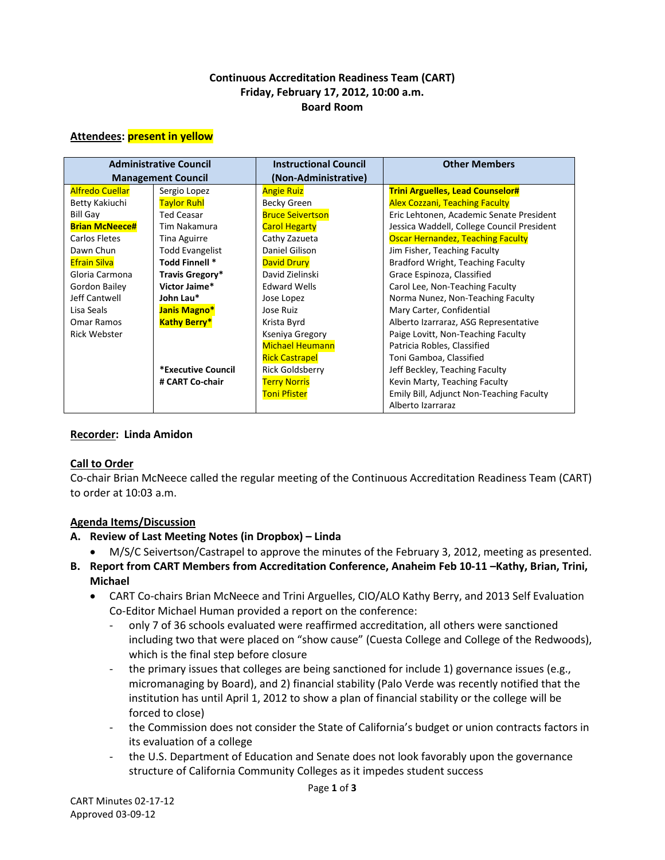#### **Continuous Accreditation Readiness Team (CART) Friday, February 17, 2012, 10:00 a.m. Board Room**

#### **Attendees: present in yellow**

| <b>Administrative Council</b> |                        | <b>Instructional Council</b> | <b>Other Members</b>                       |
|-------------------------------|------------------------|------------------------------|--------------------------------------------|
| <b>Management Council</b>     |                        | (Non-Administrative)         |                                            |
| <b>Alfredo Cuellar</b>        | Sergio Lopez           | <b>Angie Ruiz</b>            | <b>Trini Arguelles, Lead Counselor#</b>    |
| Betty Kakiuchi                | <b>Taylor Ruhl</b>     | Becky Green                  | <b>Alex Cozzani, Teaching Faculty</b>      |
| <b>Bill Gay</b>               | <b>Ted Ceasar</b>      | <b>Bruce Seivertson</b>      | Eric Lehtonen, Academic Senate President   |
| <b>Brian McNeece#</b>         | Tim Nakamura           | <b>Carol Hegarty</b>         | Jessica Waddell, College Council President |
| Carlos Fletes                 | <b>Tina Aguirre</b>    | Cathy Zazueta                | <b>Oscar Hernandez, Teaching Faculty</b>   |
| Dawn Chun                     | <b>Todd Evangelist</b> | Daniel Gilison               | Jim Fisher, Teaching Faculty               |
| <b>Efrain Silva</b>           | Todd Finnell *         | <b>David Drury</b>           | Bradford Wright, Teaching Faculty          |
| Gloria Carmona                | Travis Gregory*        | David Zielinski              | Grace Espinoza, Classified                 |
| Gordon Bailey                 | Victor Jaime*          | <b>Edward Wells</b>          | Carol Lee, Non-Teaching Faculty            |
| Jeff Cantwell                 | John Lau*              | Jose Lopez                   | Norma Nunez, Non-Teaching Faculty          |
| Lisa Seals                    | Janis Magno*           | Jose Ruiz                    | Mary Carter, Confidential                  |
| Omar Ramos                    | <b>Kathy Berry*</b>    | Krista Byrd                  | Alberto Izarraraz, ASG Representative      |
| <b>Rick Webster</b>           |                        | Kseniya Gregory              | Paige Lovitt, Non-Teaching Faculty         |
|                               |                        | <b>Michael Heumann</b>       | Patricia Robles, Classified                |
|                               |                        | <b>Rick Castrapel</b>        | Toni Gamboa, Classified                    |
|                               | *Executive Council     | <b>Rick Goldsberry</b>       | Jeff Beckley, Teaching Faculty             |
|                               | # CART Co-chair        | <b>Terry Norris</b>          | Kevin Marty, Teaching Faculty              |
|                               |                        | <b>Toni Pfister</b>          | Emily Bill, Adjunct Non-Teaching Faculty   |
|                               |                        |                              | Alberto Izarraraz                          |

#### **Recorder: Linda Amidon**

#### **Call to Order**

Co-chair Brian McNeece called the regular meeting of the Continuous Accreditation Readiness Team (CART) to order at 10:03 a.m.

## **Agenda Items/Discussion**

#### **A. Review of Last Meeting Notes (in Dropbox) – Linda**

- M/S/C Seivertson/Castrapel to approve the minutes of the February 3, 2012, meeting as presented.
- **B. Report from CART Members from Accreditation Conference, Anaheim Feb 10-11 –Kathy, Brian, Trini, Michael**
	- CART Co-chairs Brian McNeece and Trini Arguelles, CIO/ALO Kathy Berry, and 2013 Self Evaluation Co-Editor Michael Human provided a report on the conference:
		- only 7 of 36 schools evaluated were reaffirmed accreditation, all others were sanctioned including two that were placed on "show cause" (Cuesta College and College of the Redwoods), which is the final step before closure
		- the primary issues that colleges are being sanctioned for include 1) governance issues (e.g., micromanaging by Board), and 2) financial stability (Palo Verde was recently notified that the institution has until April 1, 2012 to show a plan of financial stability or the college will be forced to close)
		- the Commission does not consider the State of California's budget or union contracts factors in its evaluation of a college
		- the U.S. Department of Education and Senate does not look favorably upon the governance structure of California Community Colleges as it impedes student success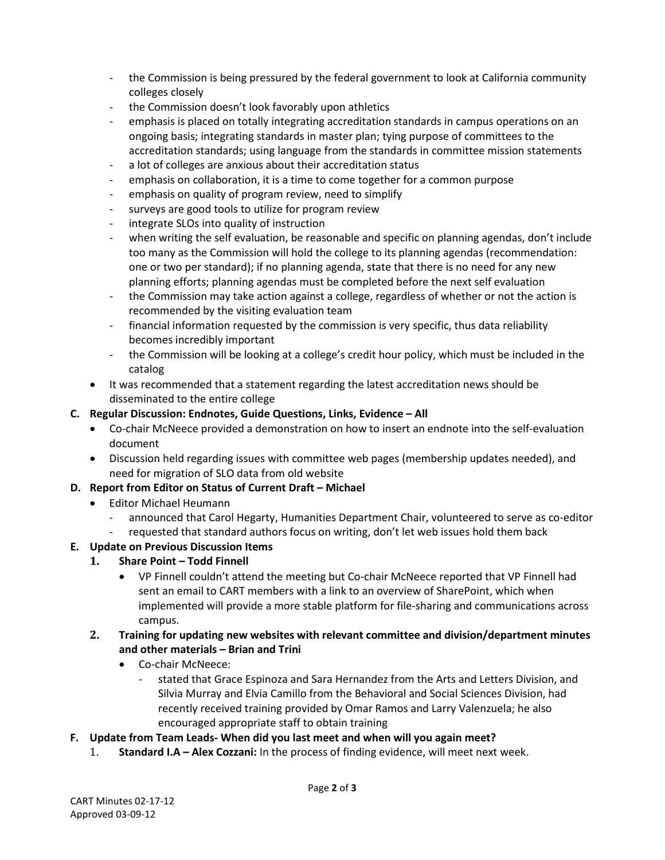- the Commission is being pressured by the federal government to look at California community colleges closely
- the Commission doesn't look favorably upon athletics
- emphasis is placed on totally integrating accreditation standards in campus operations on an ongoing basis; integrating standards in master plan; tying purpose of committees to the accreditation standards; using language from the standards in committee mission statements
- a lot of colleges are anxious about their accreditation status
- emphasis on collaboration, it is a time to come together for a common purpose
- emphasis on quality of program review, need to simplify
- surveys are good tools to utilize for program review
- integrate SLOs into quality of instruction
- when writing the self evaluation, be reasonable and specific on planning agendas, don't include too many as the Commission will hold the college to its planning agendas (recommendation: one or two per standard); if no planning agenda, state that there is no need for any new planning efforts; planning agendas must be completed before the next self evaluation
- the Commission may take action against a college, regardless of whether or not the action is recommended by the visiting evaluation team
- financial information requested by the commission is very specific, thus data reliability becomes incredibly important
- the Commission will be looking at a college's credit hour policy, which must be included in the catalog
- It was recommended that a statement regarding the latest accreditation news should be disseminated to the entire college
- **C. Regular Discussion: Endnotes, Guide Questions, Links, Evidence – All** 
	- Co-chair McNeece provided a demonstration on how to insert an endnote into the self-evaluation document
	- Discussion held regarding issues with committee web pages (membership updates needed), and need for migration of SLO data from old website

## **D. Report from Editor on Status of Current Draft – Michael**

- Editor Michael Heumann
	- announced that Carol Hegarty, Humanities Department Chair, volunteered to serve as co-editor
	- requested that standard authors focus on writing, don't let web issues hold them back

## **E. Update on Previous Discussion Items**

- **1. Share Point – Todd Finnell**
	- VP Finnell couldn't attend the meeting but Co-chair McNeece reported that VP Finnell had sent an email to CART members with a link to an overview of SharePoint, which when implemented will provide a more stable platform for file-sharing and communications across campus.
- **2. Training for updating new websites with relevant committee and division/department minutes and other materials – Brian and Trini**
	- Co-chair McNeece:
		- stated that Grace Espinoza and Sara Hernandez from the Arts and Letters Division, and Silvia Murray and Elvia Camillo from the Behavioral and Social Sciences Division, had recently received training provided by Omar Ramos and Larry Valenzuela; he also encouraged appropriate staff to obtain training
- **F. Update from Team Leads- When did you last meet and when will you again meet?** 
	- 1. **Standard I.A – Alex Cozzani:** In the process of finding evidence, will meet next week.